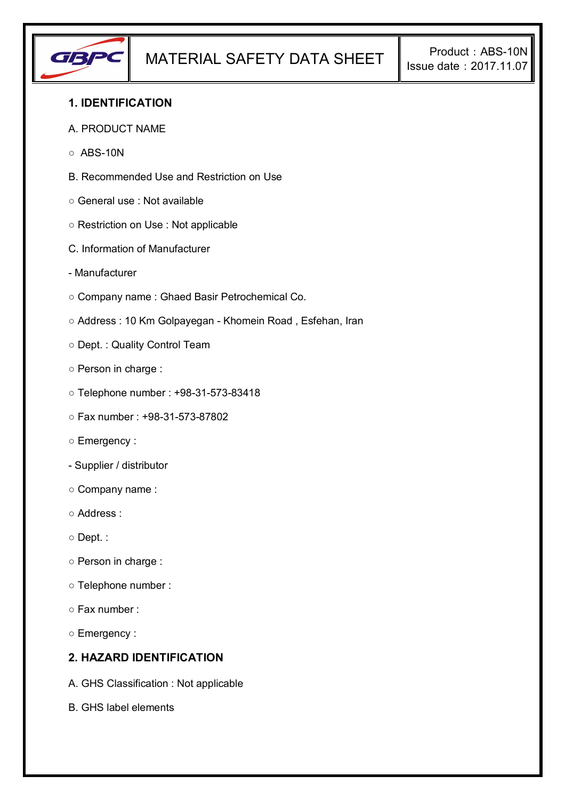

## **1. IDENTIFICATION**

- A. PRODUCT NAME
- $\circ$  ABS-10N
- B. Recommended Use and Restriction on Use
- General use : Not available
- Restriction on Use : Not applicable
- C. Information of Manufacturer
- Manufacturer
- Company name : Ghaed Basir Petrochemical Co.
- Address : 10 Km Golpayegan Khomein Road , Esfehan, Iran
- Dept. : Quality Control Team
- Person in charge :
- Telephone number : +98-31-573-83418
- Fax number : +98-31-573-87802
- Emergency :
- Supplier / distributor
- Company name :
- Address :
- Dept. :
- Person in charge :
- Telephone number :
- Fax number :
- Emergency :

#### **2. HAZARD IDENTIFICATION**

- A. GHS Classification : Not applicable
- B. GHS label elements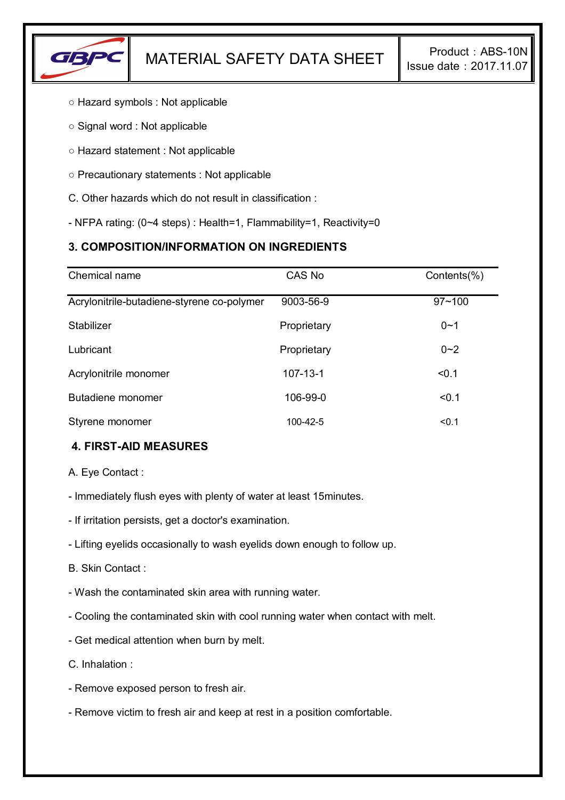

- Hazard symbols : Not applicable
- Signal word : Not applicable
- Hazard statement : Not applicable
- Precautionary statements : Not applicable
- C. Other hazards which do not result in classification :
- NFPA rating: (0~4 steps) : Health=1, Flammability=1, Reactivity=0

## **3. COMPOSITION/INFORMATION ON INGREDIENTS**

| Chemical name                              | CAS No         | Contents(%) |
|--------------------------------------------|----------------|-------------|
| Acrylonitrile-butadiene-styrene co-polymer | 9003-56-9      | $97 - 100$  |
| Stabilizer                                 | Proprietary    | $0 - 1$     |
| Lubricant                                  | Proprietary    | $0 - 2$     |
| Acrylonitrile monomer                      | $107 - 13 - 1$ | < 0.1       |
| Butadiene monomer                          | 106-99-0       | < 0.1       |
| Styrene monomer                            | 100-42-5       | < 0.1       |

## **4. FIRST-AID MEASURES**

A. Eye Contact :

- Immediately flush eyes with plenty of water at least 15minutes.
- If irritation persists, get a doctor's examination.
- Lifting eyelids occasionally to wash eyelids down enough to follow up.

B. Skin Contact :

- Wash the contaminated skin area with running water.
- Cooling the contaminated skin with cool running water when contact with melt.
- Get medical attention when burn by melt.

C. Inhalation :

- Remove exposed person to fresh air.
- Remove victim to fresh air and keep at rest in a position comfortable.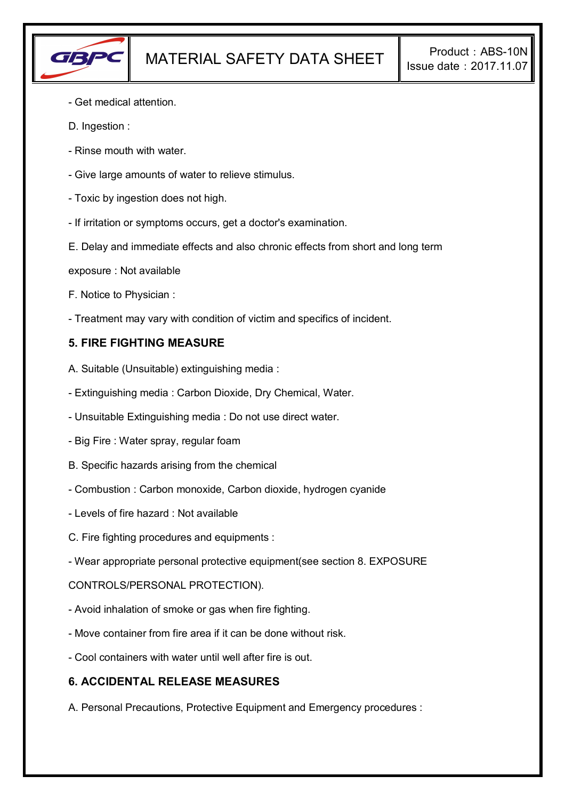

- Get medical attention.
- D. Ingestion :
- Rinse mouth with water.
- Give large amounts of water to relieve stimulus.
- Toxic by ingestion does not high.
- If irritation or symptoms occurs, get a doctor's examination.
- E. Delay and immediate effects and also chronic effects from short and long term
- exposure : Not available
- F. Notice to Physician :
- Treatment may vary with condition of victim and specifics of incident.

## **5. FIRE FIGHTING MEASURE**

- A. Suitable (Unsuitable) extinguishing media :
- Extinguishing media : Carbon Dioxide, Dry Chemical, Water.
- Unsuitable Extinguishing media : Do not use direct water.
- Big Fire : Water spray, regular foam
- B. Specific hazards arising from the chemical
- Combustion : Carbon monoxide, Carbon dioxide, hydrogen cyanide
- Levels of fire hazard : Not available
- C. Fire fighting procedures and equipments :
- Wear appropriate personal protective equipment(see section 8. EXPOSURE

CONTROLS/PERSONAL PROTECTION).

- Avoid inhalation of smoke or gas when fire fighting.
- Move container from fire area if it can be done without risk.
- Cool containers with water until well after fire is out.

## **6. ACCIDENTAL RELEASE MEASURES**

A. Personal Precautions, Protective Equipment and Emergency procedures :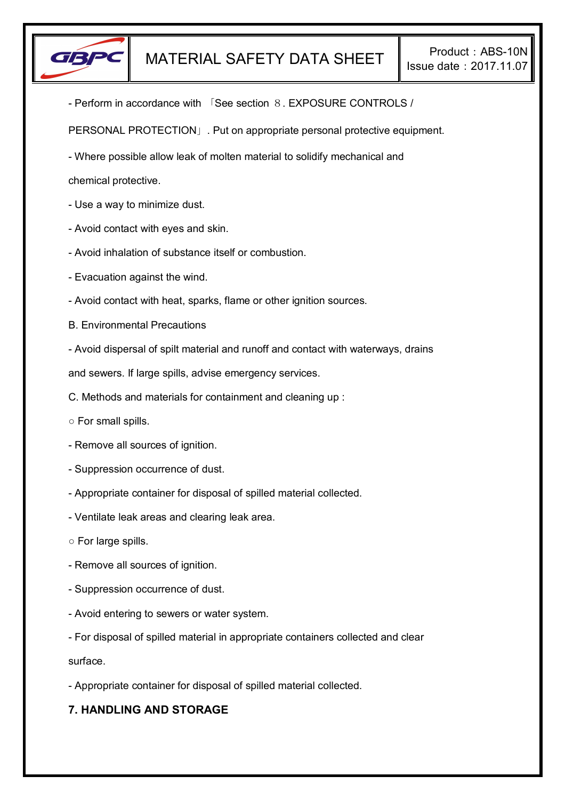

- Perform in accordance with 「See section 8. EXPOSURE CONTROLS /

PERSONAL PROTECTION」. Put on appropriate personal protective equipment.

- Where possible allow leak of molten material to solidify mechanical and

chemical protective.

- Use a way to minimize dust.
- Avoid contact with eyes and skin.
- Avoid inhalation of substance itself or combustion.
- Evacuation against the wind.
- Avoid contact with heat, sparks, flame or other ignition sources.
- B. Environmental Precautions
- Avoid dispersal of spilt material and runoff and contact with waterways, drains

and sewers. If large spills, advise emergency services.

- C. Methods and materials for containment and cleaning up :
- For small spills.
- Remove all sources of ignition.
- Suppression occurrence of dust.
- Appropriate container for disposal of spilled material collected.
- Ventilate leak areas and clearing leak area.
- For large spills.
- Remove all sources of ignition.
- Suppression occurrence of dust.
- Avoid entering to sewers or water system.
- For disposal of spilled material in appropriate containers collected and clear

surface.

- Appropriate container for disposal of spilled material collected.

# **7. HANDLING AND STORAGE**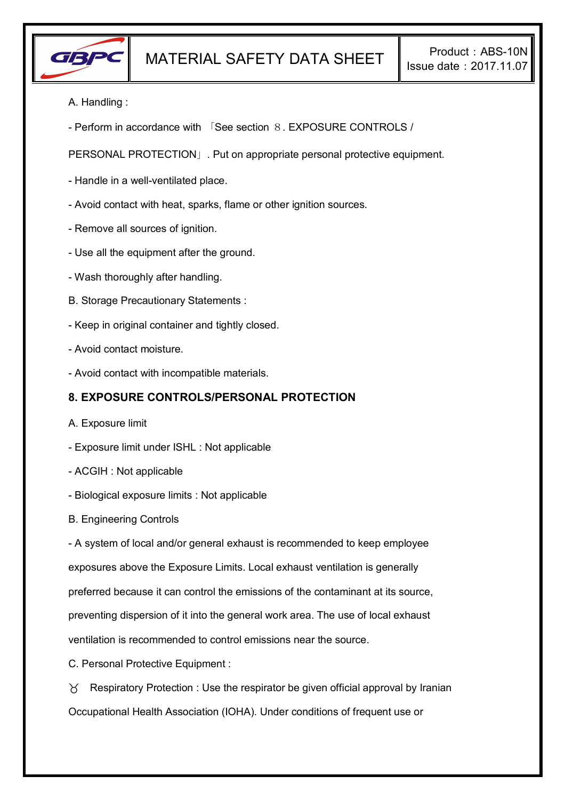

- A. Handling :
- Perform in accordance with 「See section 8. EXPOSURE CONTROLS /

PERSONAL PROTECTION」. Put on appropriate personal protective equipment.

- Handle in a well-ventilated place.
- Avoid contact with heat, sparks, flame or other ignition sources.
- Remove all sources of ignition.
- Use all the equipment after the ground.
- Wash thoroughly after handling.
- B. Storage Precautionary Statements :
- Keep in original container and tightly closed.
- Avoid contact moisture.
- Avoid contact with incompatible materials.

# **8. EXPOSURE CONTROLS/PERSONAL PROTECTION**

- A. Exposure limit
- Exposure limit under ISHL : Not applicable
- ACGIH : Not applicable
- Biological exposure limits : Not applicable
- B. Engineering Controls

- A system of local and/or general exhaust is recommended to keep employee

exposures above the Exposure Limits. Local exhaust ventilation is generally

preferred because it can control the emissions of the contaminant at its source,

preventing dispersion of it into the general work area. The use of local exhaust

ventilation is recommended to control emissions near the source.

C. Personal Protective Equipment :

 $\gamma$  Respiratory Protection : Use the respirator be given official approval by Iranian Occupational Health Association (IOHA). Under conditions of frequent use or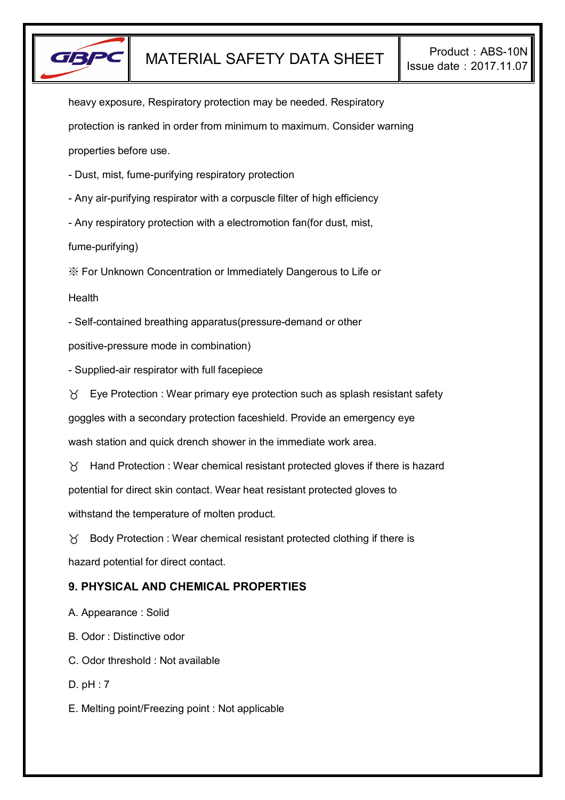

heavy exposure, Respiratory protection may be needed. Respiratory protection is ranked in order from minimum to maximum. Consider warning properties before use.

- Dust, mist, fume-purifying respiratory protection
- Any air-purifying respirator with a corpuscle filter of high efficiency
- Any respiratory protection with a electromotion fan(for dust, mist,

fume-purifying)

※ For Unknown Concentration or Immediately Dangerous to Life or

Health

- Self-contained breathing apparatus(pressure-demand or other

positive-pressure mode in combination)

- Supplied-air respirator with full facepiece

 $\forall$  Eye Protection : Wear primary eye protection such as splash resistant safety goggles with a secondary protection faceshield. Provide an emergency eye wash station and quick drench shower in the immediate work area.

 $\gamma$  Hand Protection : Wear chemical resistant protected gloves if there is hazard potential for direct skin contact. Wear heat resistant protected gloves to withstand the temperature of molten product.

 $\delta$  Body Protection : Wear chemical resistant protected clothing if there is hazard potential for direct contact.

## **9. PHYSICAL AND CHEMICAL PROPERTIES**

A. Appearance : Solid

B. Odor : Distinctive odor

C. Odor threshold : Not available

D. pH : 7

E. Melting point/Freezing point : Not applicable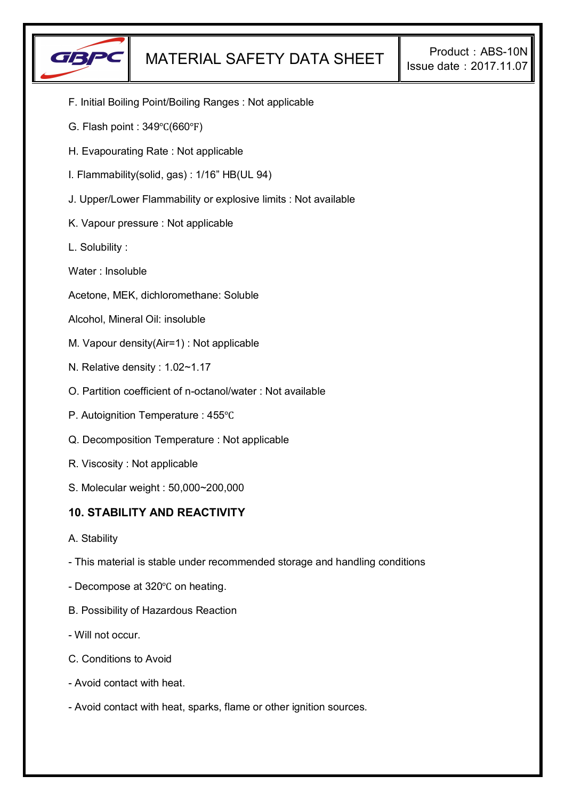

- F. Initial Boiling Point/Boiling Ranges : Not applicable
- G. Flash point : 349℃(660℉)
- H. Evapourating Rate : Not applicable
- I. Flammability(solid, gas) : 1/16" HB(UL 94)
- J. Upper/Lower Flammability or explosive limits : Not available
- K. Vapour pressure : Not applicable
- L. Solubility :
- Water : Insoluble
- Acetone, MEK, dichloromethane: Soluble
- Alcohol, Mineral Oil: insoluble
- M. Vapour density(Air=1) : Not applicable
- N. Relative density : 1.02~1.17
- O. Partition coefficient of n-octanol/water : Not available
- P. Autoignition Temperature : 455℃
- Q. Decomposition Temperature : Not applicable
- R. Viscosity : Not applicable
- S. Molecular weight : 50,000~200,000

## **10. STABILITY AND REACTIVITY**

- A. Stability
- This material is stable under recommended storage and handling conditions
- Decompose at 320℃ on heating.
- B. Possibility of Hazardous Reaction
- Will not occur.
- C. Conditions to Avoid
- Avoid contact with heat.
- Avoid contact with heat, sparks, flame or other ignition sources.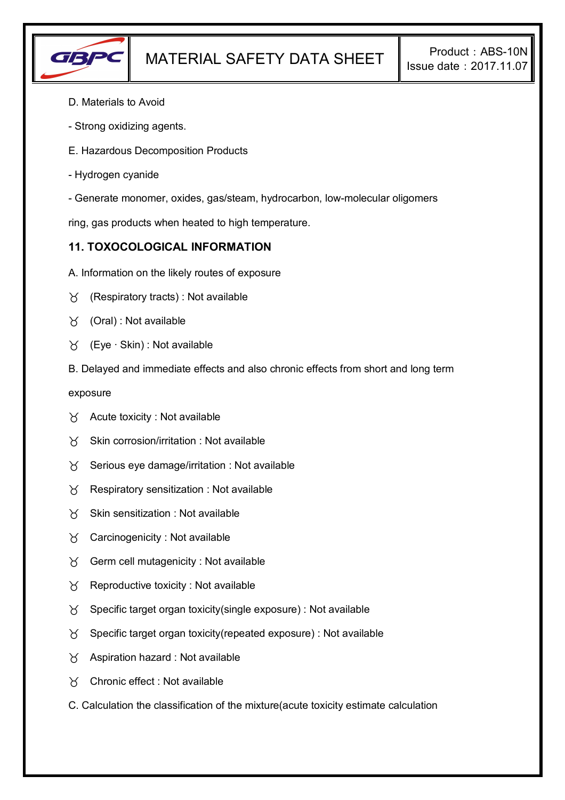

- D. Materials to Avoid
- Strong oxidizing agents.
- E. Hazardous Decomposition Products
- Hydrogen cyanide
- Generate monomer, oxides, gas/steam, hydrocarbon, low-molecular oligomers

ring, gas products when heated to high temperature.

## **11. TOXOCOLOGICAL INFORMATION**

- A. Information on the likely routes of exposure
- $\gamma$  (Respiratory tracts) : Not available
- $\forall$  (Oral): Not available
- (Eye ∙ Skin) : Not available
- B. Delayed and immediate effects and also chronic effects from short and long term

exposure

- $\forall$  Acute toxicity : Not available
- $\gamma$  Skin corrosion/irritation : Not available
- $\gamma$  Serious eye damage/irritation : Not available
- $\gamma$  Respiratory sensitization : Not available
- $\mathcal{B}$  Skin sensitization : Not available
- Carcinogenicity : Not available
- $\gamma$  Germ cell mutagenicity : Not available
- $\gamma$  Reproductive toxicity : Not available
- $\gamma$  Specific target organ toxicity(single exposure) : Not available
- $\gamma$  Specific target organ toxicity(repeated exposure) : Not available
- $\gamma$  Aspiration hazard : Not available
- Chronic effect : Not available
- C. Calculation the classification of the mixture(acute toxicity estimate calculation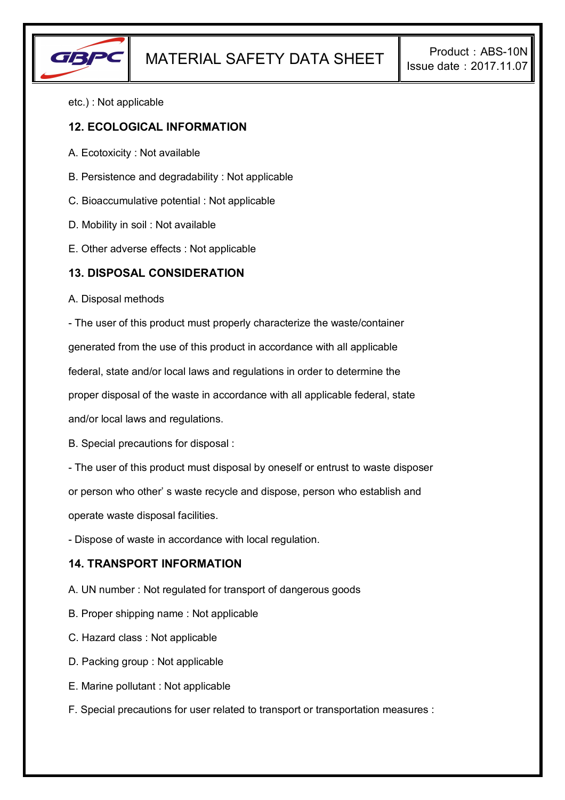

etc.) : Not applicable

## **12. ECOLOGICAL INFORMATION**

- A. Ecotoxicity : Not available
- B. Persistence and degradability : Not applicable
- C. Bioaccumulative potential : Not applicable
- D. Mobility in soil : Not available
- E. Other adverse effects : Not applicable

#### **13. DISPOSAL CONSIDERATION**

A. Disposal methods

- The user of this product must properly characterize the waste/container generated from the use of this product in accordance with all applicable federal, state and/or local laws and regulations in order to determine the proper disposal of the waste in accordance with all applicable federal, state and/or local laws and regulations.

B. Special precautions for disposal :

- The user of this product must disposal by oneself or entrust to waste disposer

or person who other' s waste recycle and dispose, person who establish and

operate waste disposal facilities.

- Dispose of waste in accordance with local regulation.

#### **14. TRANSPORT INFORMATION**

A. UN number : Not regulated for transport of dangerous goods

- B. Proper shipping name : Not applicable
- C. Hazard class : Not applicable
- D. Packing group : Not applicable
- E. Marine pollutant : Not applicable
- F. Special precautions for user related to transport or transportation measures :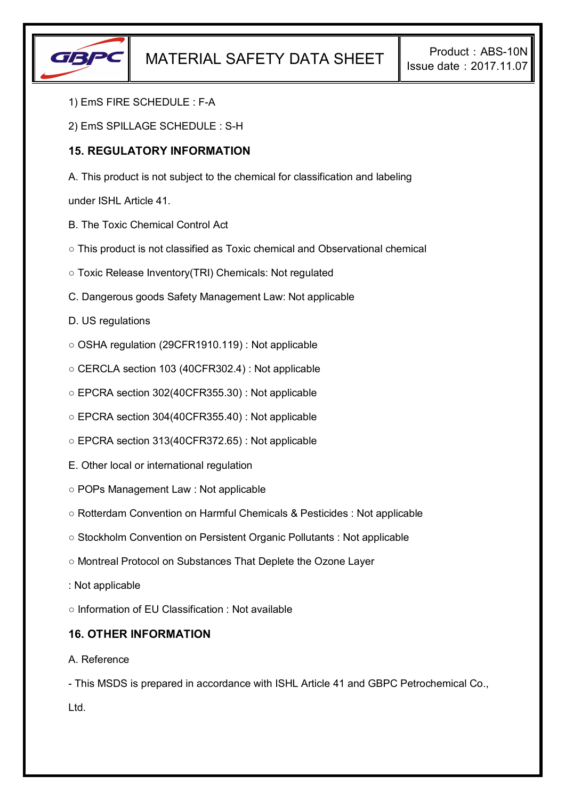

- 1) EmS FIRE SCHEDULE : F-A
- 2) EmS SPILLAGE SCHEDULE : S-H

## **15. REGULATORY INFORMATION**

A. This product is not subject to the chemical for classification and labeling

under ISHL Article 41.

- B. The Toxic Chemical Control Act
- This product is not classified as Toxic chemical and Observational chemical
- Toxic Release Inventory(TRI) Chemicals: Not regulated
- C. Dangerous goods Safety Management Law: Not applicable
- D. US regulations
- OSHA regulation (29CFR1910.119) : Not applicable
- CERCLA section 103 (40CFR302.4) : Not applicable
- EPCRA section 302(40CFR355.30) : Not applicable
- EPCRA section 304(40CFR355.40) : Not applicable
- EPCRA section 313(40CFR372.65) : Not applicable
- E. Other local or international regulation
- POPs Management Law : Not applicable
- Rotterdam Convention on Harmful Chemicals & Pesticides : Not applicable
- Stockholm Convention on Persistent Organic Pollutants : Not applicable
- Montreal Protocol on Substances That Deplete the Ozone Layer
- : Not applicable
- Information of EU Classification : Not available

## **16. OTHER INFORMATION**

#### A. Reference

- This MSDS is prepared in accordance with ISHL Article 41 and GBPC Petrochemical Co., Ltd.